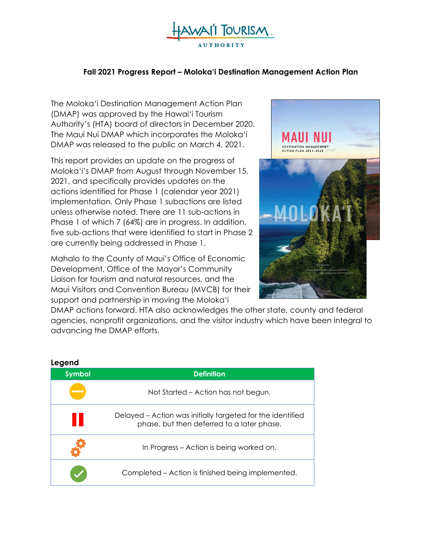

# **Fall 2021 Progress Report – Moloka'i Destination Management Action Plan**

The Moloka'i Destination Management Action Plan (DMAP) was approved by the Hawai'i Tourism Authority's (HTA) board of directors in December 2020. The Maui Nui DMAP which incorporates the Moloka'i DMAP was released to the public on March 4, 2021.

This report provides an update on the progress of Moloka'i's DMAP from August through November 15, 2021, and specifically provides updates on the actions identified for Phase 1 (calendar year 2021) implementation. Only Phase 1 subactions are listed unless otherwise noted. There are 11 sub-actions in Phase 1 of which 7 (64%) are in progress. In addition, five sub-actions that were identified to start in Phase 2 are currently being addressed in Phase 1.

Mahalo to the County of Maui's Office of Economic Development, Office of the Mayor's Community Liaison for tourism and natural resources, and the Maui Visitors and Convention Bureau (MVCB) for their support and partnership in moving the Moloka'i



DMAP actions forward. HTA also acknowledges the other state, county and federal agencies, nonprofit organizations, and the visitor industry which have been integral to advancing the DMAP efforts.

| ----<br><b>Symbol</b> | <b>Definition</b>                                                                                        |
|-----------------------|----------------------------------------------------------------------------------------------------------|
|                       | Not Started – Action has not begun.                                                                      |
|                       | Delayed – Action was initially targeted for the identified<br>phase, but then deferred to a later phase. |
|                       | In Progress – Action is being worked on.                                                                 |
|                       | Completed – Action is finished being implemented.                                                        |

#### **Legend**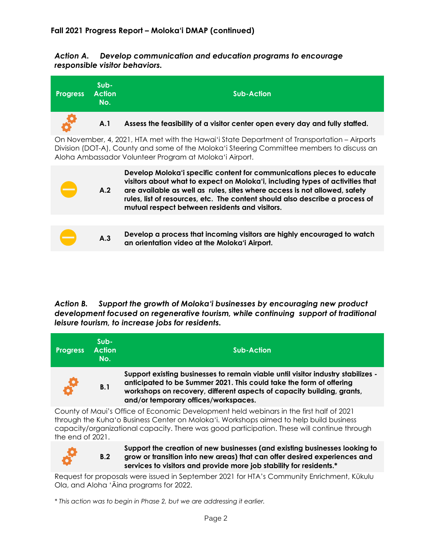*Action A. Develop communication and education programs to encourage responsible visitor behaviors.*



### *Action B. Support the growth of Moloka'i businesses by encouraging new product development focused on regenerative tourism, while continuing support of traditional leisure tourism, to increase jobs for residents.*

| <b>Progress</b> | $Sub-$<br><b>Action</b><br>No. | <b>Sub-Action</b>                                                                                                                                                                                                                                                         |
|-----------------|--------------------------------|---------------------------------------------------------------------------------------------------------------------------------------------------------------------------------------------------------------------------------------------------------------------------|
| <b>SP</b>       | B.1                            | Support existing businesses to remain viable until visitor industry stabilizes -<br>anticipated to be Summer 2021. This could take the form of offering<br>workshops on recovery, different aspects of capacity building, grants,<br>and/or temporary offices/workspaces. |
|                 |                                |                                                                                                                                                                                                                                                                           |

County of Maui's Office of Economic Development held webinars in the first half of 2021 through the Kuha'o Business Center on Moloka'i. Workshops aimed to help build business capacity/organizational capacity. There was good participation. These will continue through the end of 2021.



**B.2**

**Support the creation of new businesses (and existing businesses looking to grow or transition into new areas) that can offer desired experiences and services to visitors and provide more job stability for residents.\***

Request for proposals were issued in September 2021 for HTA's Community Enrichment, Kūkulu Ola, and Aloha 'Āina programs for 2022.

*\* This action was to begin in Phase 2, but we are addressing it earlier.*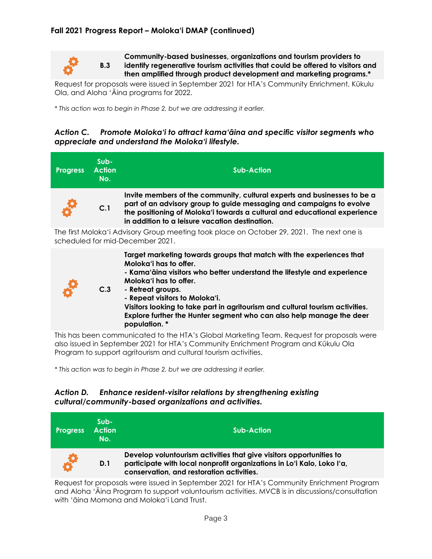

**B.3**

**Community-based businesses, organizations and tourism providers to identify regenerative tourism activities that could be offered to visitors and then amplified through product development and marketing programs.\***

Request for proposals were issued in September 2021 for HTA's Community Enrichment, Kūkulu Ola, and Aloha 'Āina programs for 2022.

*\* This action was to begin in Phase 2, but we are addressing it earlier.*

# *Action C. Promote Moloka'i to attract kama'āina and specific visitor segments who appreciate and understand the Moloka'i lifestyle.*

| <b>Progress</b>                                                                                                                                                                  | Sub-<br><b>Action</b><br>No. | <b>Sub-Action</b>                                                                                                                                                                                                                                                                                                                                                                                                                    |  |
|----------------------------------------------------------------------------------------------------------------------------------------------------------------------------------|------------------------------|--------------------------------------------------------------------------------------------------------------------------------------------------------------------------------------------------------------------------------------------------------------------------------------------------------------------------------------------------------------------------------------------------------------------------------------|--|
|                                                                                                                                                                                  | C.1                          | Invite members of the community, cultural experts and businesses to be a<br>part of an advisory group to guide messaging and campaigns to evolve<br>the positioning of Moloka'i towards a cultural and educational experience<br>in addition to a leisure vacation destination.                                                                                                                                                      |  |
| The first Moloka'i Advisory Group meeting took place on October 29, 2021. The next one is<br>scheduled for mid-December 2021.                                                    |                              |                                                                                                                                                                                                                                                                                                                                                                                                                                      |  |
|                                                                                                                                                                                  | C.3                          | Target marketing towards groups that match with the experiences that<br>Moloka'i has to offer.<br>- Kama'āina visitors who better understand the lifestyle and experience<br>Moloka'i has to offer.<br>- Retreat groups.<br>- Repeat visitors to Moloka'i.<br>Visitors looking to take part in agritourism and cultural tourism activities.<br>Explore further the Hunter segment who can also help manage the deer<br>population. * |  |
| This has been communicated to the HTA's Global Marketing Team. Request for proposals were<br>also issued in September 2021 for HTA's Community Enrichment Program and Kūkulu Ola |                              |                                                                                                                                                                                                                                                                                                                                                                                                                                      |  |

Program to support agritourism and cultural tourism activities.

*\* This action was to begin in Phase 2, but we are addressing it earlier.*

# *Action D. Enhance resident-visitor relations by strengthening existing cultural/community-based organizations and activities.*



Request for proposals were issued in September 2021 for HTA's Community Enrichment Program and Aloha 'Āina Program to support voluntourism activities. MVCB is in discussions/consultation with 'āina Momona and Moloka'i Land Trust.